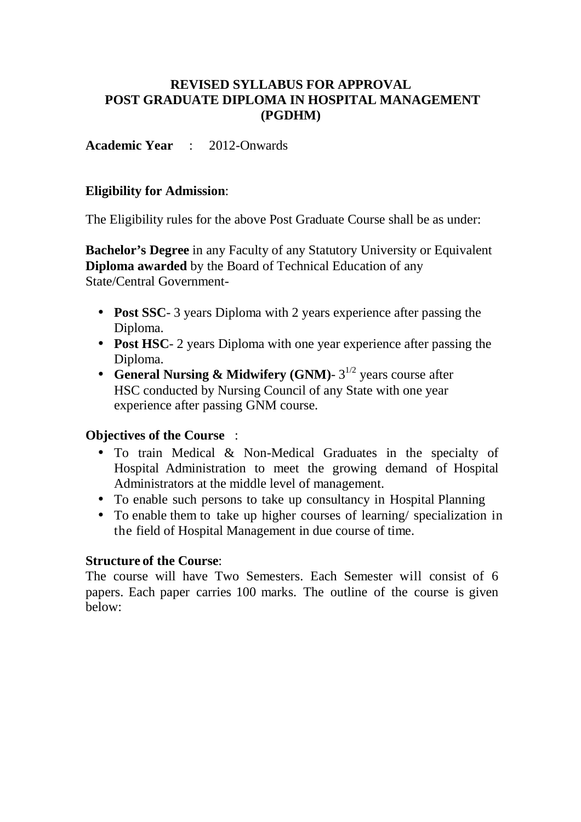### **REVISED SYLLABUS FOR APPROVAL POST GRADUATE DIPLOMA IN HOSPITAL MANAGEMENT (PGDHM)**

**Academic Year** : 2012-Onwards

### **Eligibility for Admission**:

The Eligibility rules for the above Post Graduate Course shall be as under:

**Bachelor's Degree** in any Faculty of any Statutory University or Equivalent **Diploma awarded** by the Board of Technical Education of any State/Central Government-

- **Post SSC**-3 years Diploma with 2 years experience after passing the Diploma.
- **Post HSC** 2 years Diploma with one year experience after passing the Diploma.
- **General Nursing & Midwifery (GNM)**  $3^{1/2}$  years course after HSC conducted by Nursing Council of any State with one year experience after passing GNM course.

### **Objectives of the Course** :

- To train Medical & Non-Medical Graduates in the specialty of Hospital Administration to meet the growing demand of Hospital Administrators at the middle level of management.
- To enable such persons to take up consultancy in Hospital Planning
- To enable them to take up higher courses of learning/ specialization in the field of Hospital Management in due course of time.

### **Structure of the Course**:

The course will have Two Semesters. Each Semester will consist of 6 papers. Each paper carries 100 marks. The outline of the course is given below: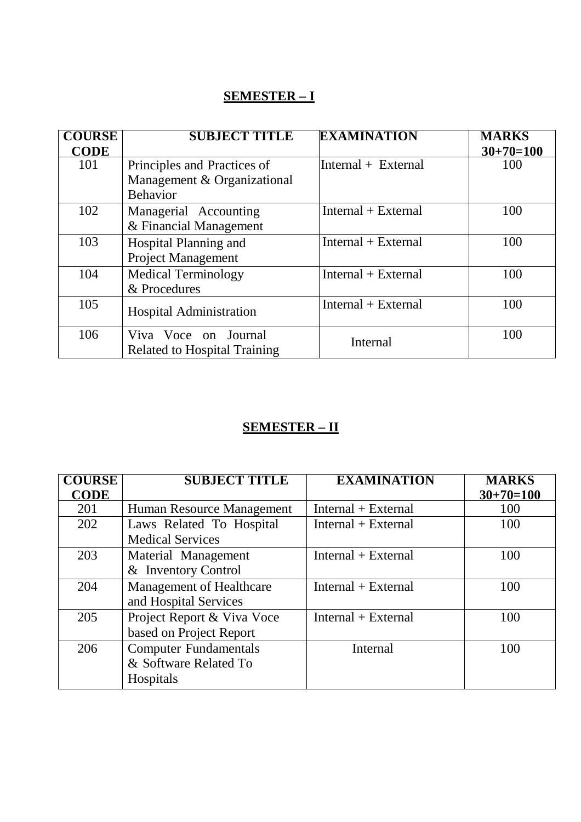# **SEMESTER – I**

| <b>COURSE</b> | <b>SUBJECT TITLE</b>                | <b>EXAMINATION</b>    | <b>MARKS</b> |
|---------------|-------------------------------------|-----------------------|--------------|
| <b>CODE</b>   |                                     |                       | $30+70=100$  |
| 101           | Principles and Practices of         | $Internal + External$ | 100          |
|               | Management & Organizational         |                       |              |
|               | <b>Behavior</b>                     |                       |              |
| 102           | Managerial Accounting               | $Internal + External$ | 100          |
|               | & Financial Management              |                       |              |
| 103           | Hospital Planning and               | $Internal + External$ | 100          |
|               | <b>Project Management</b>           |                       |              |
| 104           | <b>Medical Terminology</b>          | $Internal + External$ | 100          |
|               | & Procedures                        |                       |              |
| 105           |                                     | $Internal + External$ | 100          |
|               | <b>Hospital Administration</b>      |                       |              |
| 106           | Viva Voce on Journal                | Internal              | 100          |
|               | <b>Related to Hospital Training</b> |                       |              |

## **SEMESTER – II**

| <b>COURSE</b> | <b>SUBJECT TITLE</b>         | <b>EXAMINATION</b>    | <b>MARKS</b> |
|---------------|------------------------------|-----------------------|--------------|
| <b>CODE</b>   |                              |                       | $30+70=100$  |
| 201           | Human Resource Management    | $Internal + External$ | 100          |
| 202           | Laws Related To Hospital     | $Internal + External$ | 100          |
|               | <b>Medical Services</b>      |                       |              |
| 203           | Material Management          | $Internal + External$ | 100          |
|               | & Inventory Control          |                       |              |
| 204           | Management of Healthcare     | $Internal + External$ | 100          |
|               | and Hospital Services        |                       |              |
| 205           | Project Report & Viva Voce   | $Internal + External$ | 100          |
|               | based on Project Report      |                       |              |
| 206           | <b>Computer Fundamentals</b> | Internal              | 100          |
|               | & Software Related To        |                       |              |
|               | Hospitals                    |                       |              |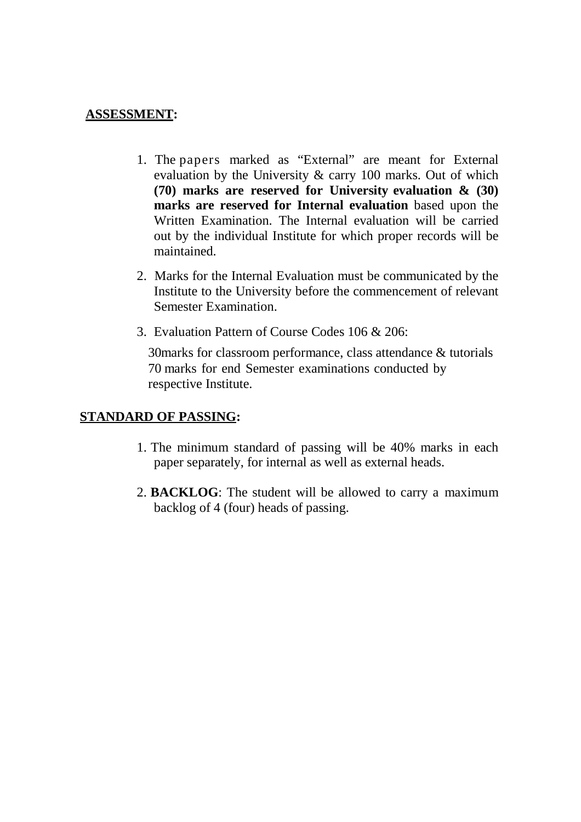### **ASSESSMENT:**

- 1. The papers marked as "External" are meant for External evaluation by the University & carry 100 marks. Out of which **(70) marks are reserved for University evaluation & (30) marks are reserved for Internal evaluation** based upon the Written Examination. The Internal evaluation will be carried out by the individual Institute for which proper records will be maintained.
- 2. Marks for the Internal Evaluation must be communicated by the Institute to the University before the commencement of relevant Semester Examination.
- 3. Evaluation Pattern of Course Codes 106 & 206:

30marks for classroom performance, class attendance & tutorials 70 marks for end Semester examinations conducted by respective Institute.

## **STANDARD OF PASSING:**

- 1. The minimum standard of passing will be 40% marks in each paper separately, for internal as well as external heads.
- 2. **BACKLOG**: The student will be allowed to carry a maximum backlog of 4 (four) heads of passing.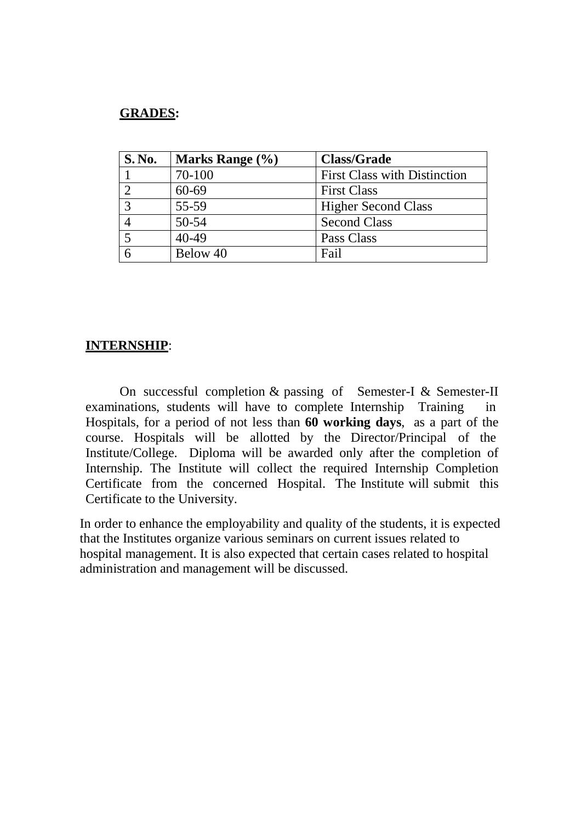### **GRADES:**

| <b>S. No.</b> | Marks Range (%) | <b>Class/Grade</b>                  |
|---------------|-----------------|-------------------------------------|
|               | 70-100          | <b>First Class with Distinction</b> |
|               | 60-69           | <b>First Class</b>                  |
| $\mathbf{R}$  | 55-59           | <b>Higher Second Class</b>          |
|               | $50 - 54$       | <b>Second Class</b>                 |
|               | $40 - 49$       | Pass Class                          |
|               | Below 40        | Fail                                |

### **INTERNSHIP**:

On successful completion & passing of Semester-I & Semester-II examinations, students will have to complete Internship Training in Hospitals, for a period of not less than **60 working days**, as a part of the course. Hospitals will be allotted by the Director/Principal of the Institute/College. Diploma will be awarded only after the completion of Internship. The Institute will collect the required Internship Completion Certificate from the concerned Hospital. The Institute will submit this Certificate to the University.

In order to enhance the employability and quality of the students, it is expected that the Institutes organize various seminars on current issues related to hospital management. It is also expected that certain cases related to hospital administration and management will be discussed.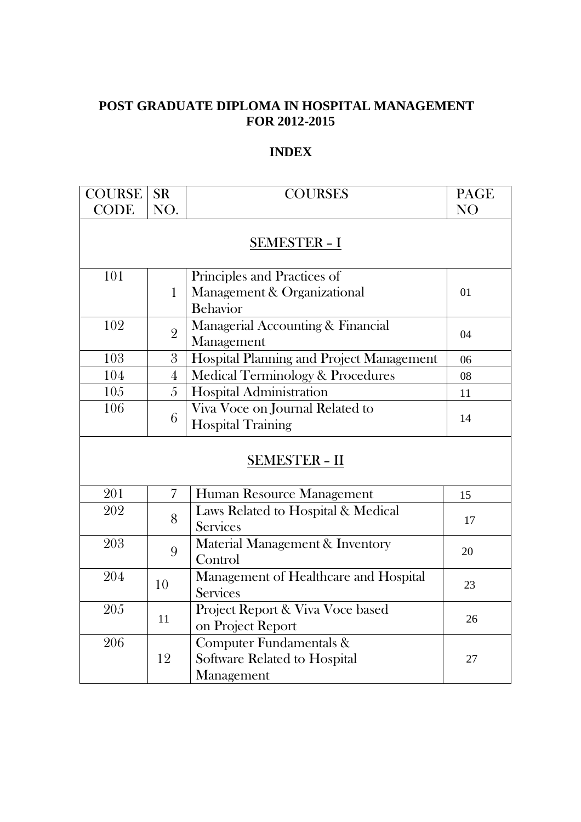## **POST GRADUATE DIPLOMA IN HOSPITAL MANAGEMENT FOR 2012-2015**

### **INDEX**

| <b>COURSE</b> | <b>SR</b>            | <b>COURSES</b>                                                         | <b>PAGE</b> |
|---------------|----------------------|------------------------------------------------------------------------|-------------|
| <b>CODE</b>   | NO.                  |                                                                        | <b>NO</b>   |
|               | <u>SEMESTER - I</u>  |                                                                        |             |
| 101           | $\mathbf{1}$         | Principles and Practices of<br>Management & Organizational<br>Behavior | 01          |
| 102           | $\overline{2}$       | Managerial Accounting & Financial<br>Management                        | 04          |
| 103           | 3                    | Hospital Planning and Project Management                               | 06          |
| 104           | $\overline{4}$       | Medical Terminology & Procedures                                       | 08          |
| 105           | 5                    | Hospital Administration                                                | 11          |
| 106           | 6                    | Viva Voce on Journal Related to<br><b>Hospital Training</b>            | 14          |
|               | <b>SEMESTER - II</b> |                                                                        |             |
| 201           | $\overline{7}$       | Human Resource Management                                              | 15          |
| 202           | 8                    | Laws Related to Hospital & Medical<br><b>Services</b>                  | 17          |
| 203           | 9                    | Material Management & Inventory<br>Control                             | 20          |
| 204           | 10                   | Management of Healthcare and Hospital<br><b>Services</b>               | 23          |
| 205           | 11                   | Project Report & Viva Voce based<br>on Project Report                  | 26          |
| 206           | 12                   | Computer Fundamentals &<br>Software Related to Hospital<br>Management  | 27          |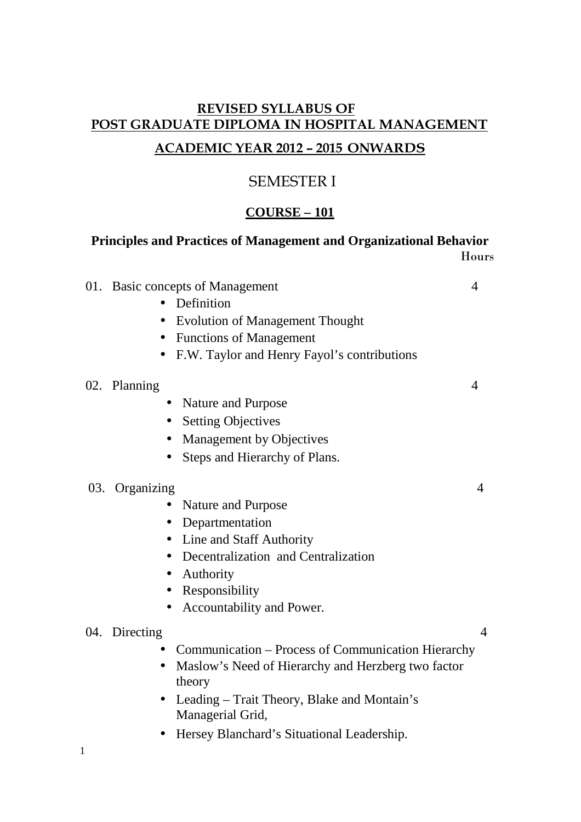# **REVISED SYLLABUS OF POST GRADUATE DIPLOMA IN HOSPITAL MANAGEMENT ACADEMIC YEAR 2012 – 2015 ONWARDS**

# SEMESTER I

## **COURSE – 101**

### **Principles and Practices of Management and Organizational Behavior** Hours

| 01. Basic concepts of Management                                          | 4              |
|---------------------------------------------------------------------------|----------------|
| Definition<br>$\bullet$                                                   |                |
| <b>Evolution of Management Thought</b><br>$\bullet$                       |                |
| • Functions of Management                                                 |                |
| F.W. Taylor and Henry Fayol's contributions<br>$\bullet$                  |                |
| 02. Planning                                                              | 4              |
| Nature and Purpose                                                        |                |
| <b>Setting Objectives</b><br>$\bullet$                                    |                |
| Management by Objectives<br>$\bullet$                                     |                |
| Steps and Hierarchy of Plans.                                             |                |
| 03. Organizing                                                            | 4              |
| Nature and Purpose                                                        |                |
| • Departmentation                                                         |                |
| Line and Staff Authority<br>$\bullet$                                     |                |
| Decentralization and Centralization<br>$\bullet$                          |                |
| Authority                                                                 |                |
| Responsibility                                                            |                |
| Accountability and Power.<br>$\bullet$                                    |                |
| 04. Directing                                                             | $\overline{4}$ |
| Communication – Process of Communication Hierarchy<br>$\bullet$           |                |
| Maslow's Need of Hierarchy and Herzberg two factor<br>$\bullet$<br>theory |                |
| • Leading – Trait Theory, Blake and Montain's<br>Managerial Grid,         |                |
| Hersey Blanchard's Situational Leadership.<br>$\bullet$                   |                |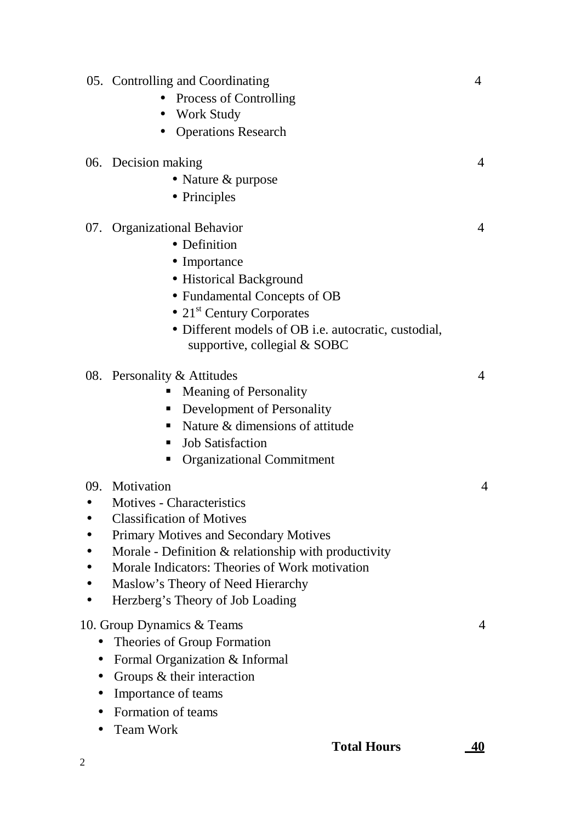- 05. Controlling and Coordinating 4 • Process of Controlling • Work Study • Operations Research 06. Decision making 4 • Nature & purpose • Principles 07. Organizational Behavior 4 • Definition • Importance • Historical Background • Fundamental Concepts of OB •  $21<sup>st</sup>$  Century Corporates • Different models of OB i.e. autocratic, custodial, supportive, collegial & SOBC 08. Personality & Attitudes 4 **Meaning of Personality** • Development of Personality Nature  $\&$  dimensions of attitude • Job Satisfaction **•** Organizational Commitment 09. Motivation 4 • Motives - Characteristics • Classification of Motives • Primary Motives and Secondary Motives • Morale - Definition & relationship with productivity • Morale Indicators: Theories of Work motivation • Maslow's Theory of Need Hierarchy • Herzberg's Theory of Job Loading 10. Group Dynamics & Teams 4 • Theories of Group Formation • Formal Organization & Informal • Groups & their interaction • Importance of teams • Formation of teams
	- Team Work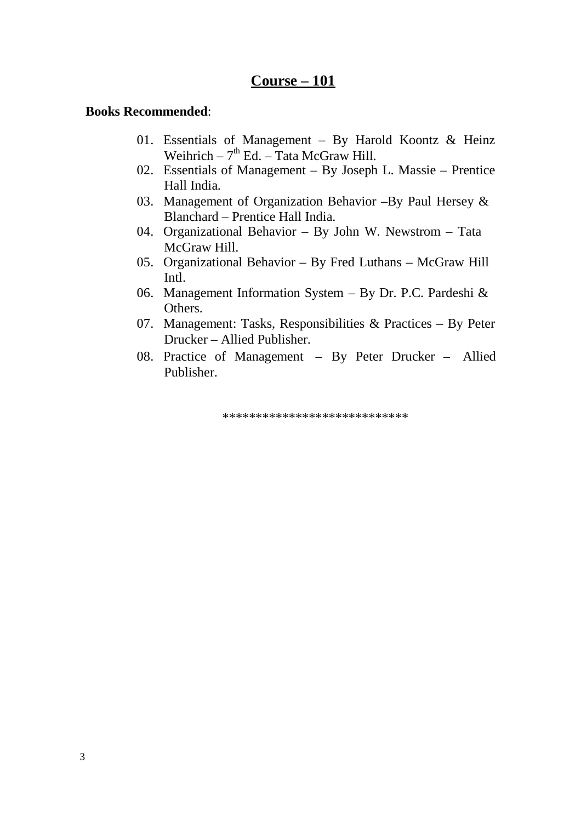## **Course – 101**

#### **Books Recommended**:

- 01. Essentials of Management By Harold Koontz & Heinz Weihrich –  $7<sup>th</sup>$  Ed. – Tata McGraw Hill.
- 02. Essentials of Management By Joseph L. Massie Prentice Hall India.
- 03. Management of Organization Behavior –By Paul Hersey & Blanchard – Prentice Hall India.
- 04. Organizational Behavior By John W. Newstrom Tata McGraw Hill.
- 05. Organizational Behavior By Fred Luthans McGraw Hill Intl.
- 06. Management Information System By Dr. P.C. Pardeshi & Others.
- 07. Management: Tasks, Responsibilities & Practices By Peter Drucker – Allied Publisher.
- 08. Practice of Management By Peter Drucker Allied Publisher.

\*\*\*\*\*\*\*\*\*\*\*\*\*\*\*\*\*\*\*\*\*\*\*\*\*\*\*\*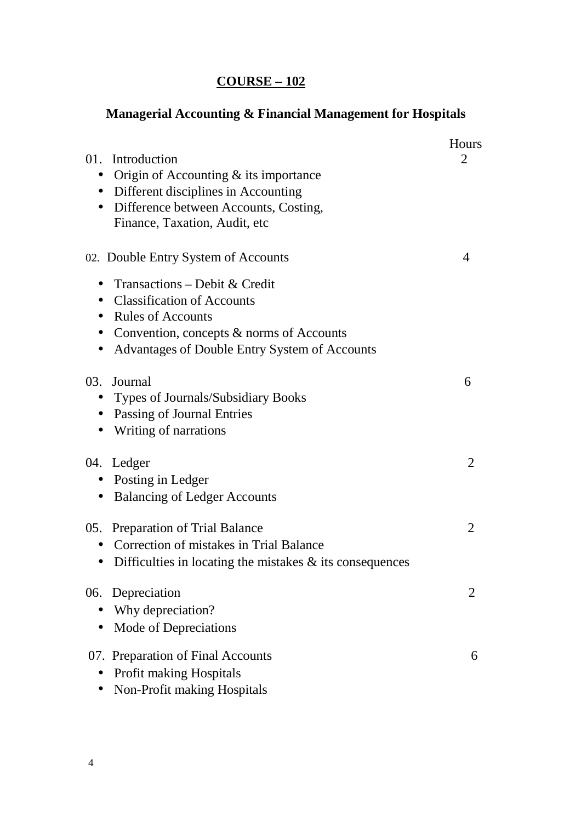# **Managerial Accounting & Financial Management for Hospitals**

| 01.                    | Introduction<br>Origin of Accounting $&$ its importance<br>Different disciplines in Accounting<br>Difference between Accounts, Costing,<br>Finance, Taxation, Audit, etc                                                           | <b>Hours</b><br>2 |
|------------------------|------------------------------------------------------------------------------------------------------------------------------------------------------------------------------------------------------------------------------------|-------------------|
|                        | 02. Double Entry System of Accounts<br>Transactions – Debit & Credit<br><b>Classification of Accounts</b><br><b>Rules of Accounts</b><br>Convention, concepts & norms of Accounts<br>Advantages of Double Entry System of Accounts | 4                 |
| 03.<br>$\bullet$       | Journal<br>Types of Journals/Subsidiary Books<br><b>Passing of Journal Entries</b><br>Writing of narrations                                                                                                                        | 6                 |
| $\bullet$<br>$\bullet$ | 04. Ledger<br>Posting in Ledger<br><b>Balancing of Ledger Accounts</b>                                                                                                                                                             | $\overline{2}$    |
| $\bullet$              | 05. Preparation of Trial Balance<br>Correction of mistakes in Trial Balance<br>Difficulties in locating the mistakes $\&$ its consequences                                                                                         | 2                 |
| 06.                    | Depreciation<br>Why depreciation?<br>Mode of Depreciations                                                                                                                                                                         |                   |
|                        | 07. Preparation of Final Accounts<br><b>Profit making Hospitals</b><br>Non-Profit making Hospitals                                                                                                                                 | 6                 |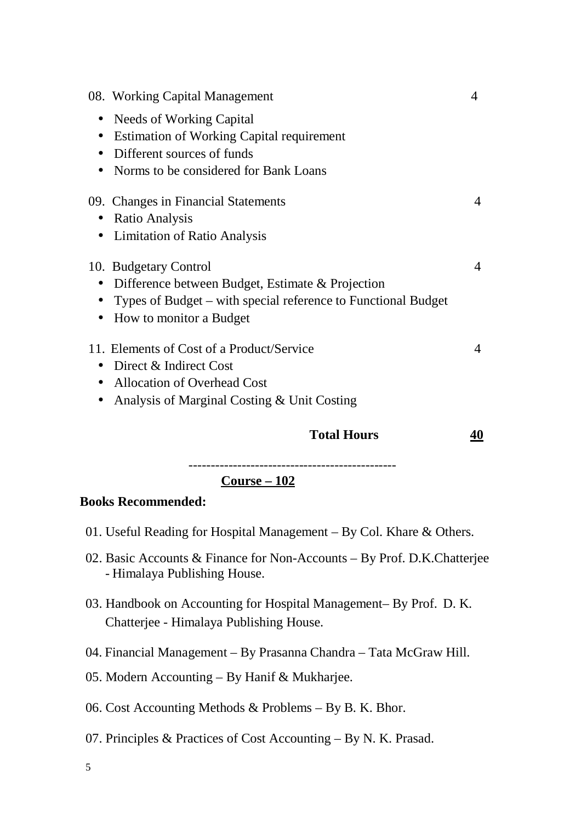| <b>Total Hours</b>                                            | 40       |
|---------------------------------------------------------------|----------|
| Analysis of Marginal Costing & Unit Costing                   |          |
| • Allocation of Overhead Cost                                 |          |
| Direct & Indirect Cost<br>$\bullet$                           |          |
| 11. Elements of Cost of a Product/Service                     | 4        |
| How to monitor a Budget                                       |          |
| $\bullet$                                                     |          |
| Types of Budget – with special reference to Functional Budget |          |
| Difference between Budget, Estimate & Projection<br>$\bullet$ |          |
| 10. Budgetary Control                                         | 4        |
| <b>Limitation of Ratio Analysis</b><br>$\bullet$              |          |
| <b>Ratio Analysis</b><br>$\bullet$                            |          |
| 09. Changes in Financial Statements                           | $\Delta$ |
|                                                               |          |
| Norms to be considered for Bank Loans                         |          |
| Different sources of funds<br>$\bullet$                       |          |
| <b>Estimation of Working Capital requirement</b><br>$\bullet$ |          |
| Needs of Working Capital<br>$\bullet$                         |          |
| 08. Working Capital Management                                | 4        |

-----------------------------------------------

**Course – 102**

### **Books Recommended:**

- 01. Useful Reading for Hospital Management By Col. Khare & Others.
- 02. Basic Accounts & Finance for Non-Accounts By Prof. D.K.Chatterjee - Himalaya Publishing House.
- 03. Handbook on Accounting for Hospital Management– By Prof. D. K. Chatterjee - Himalaya Publishing House.
- 04. Financial Management By Prasanna Chandra Tata McGraw Hill.
- 05. Modern Accounting By Hanif & Mukharjee.
- 06. Cost Accounting Methods & Problems By B. K. Bhor.
- 07. Principles & Practices of Cost Accounting By N. K. Prasad.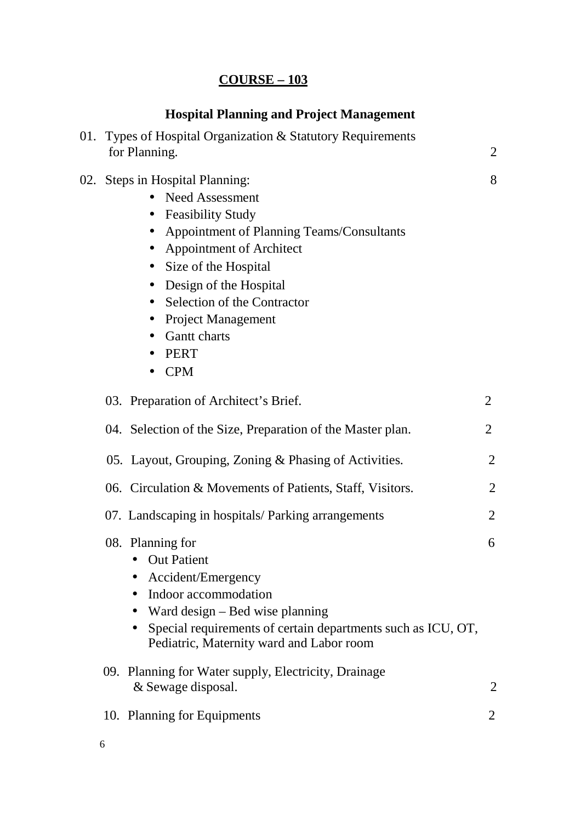# **Hospital Planning and Project Management**

| 01. Types of Hospital Organization & Statutory Requirements<br>for Planning.                                                                                                                                                                                                                                                         | 2              |
|--------------------------------------------------------------------------------------------------------------------------------------------------------------------------------------------------------------------------------------------------------------------------------------------------------------------------------------|----------------|
| 02. Steps in Hospital Planning:<br><b>Need Assessment</b><br>• Feasibility Study<br>• Appointment of Planning Teams/Consultants<br>• Appointment of Architect<br>Size of the Hospital<br>$\bullet$<br>• Design of the Hospital<br>• Selection of the Contractor<br>• Project Management<br><b>Gantt charts</b><br>PERT<br><b>CPM</b> | 8              |
| 03. Preparation of Architect's Brief.                                                                                                                                                                                                                                                                                                | $\overline{2}$ |
| 04. Selection of the Size, Preparation of the Master plan.                                                                                                                                                                                                                                                                           | $\overline{2}$ |
| 05. Layout, Grouping, Zoning & Phasing of Activities.                                                                                                                                                                                                                                                                                | 2              |
| 06. Circulation & Movements of Patients, Staff, Visitors.                                                                                                                                                                                                                                                                            | $\overline{2}$ |
| 07. Landscaping in hospitals/Parking arrangements                                                                                                                                                                                                                                                                                    | $\overline{2}$ |
| 08. Planning for<br>• Out Patient<br>Accident/Emergency<br>Indoor accommodation<br>Ward design - Bed wise planning<br>Special requirements of certain departments such as ICU, OT,<br>Pediatric, Maternity ward and Labor room                                                                                                       | 6              |
| 09. Planning for Water supply, Electricity, Drainage<br>& Sewage disposal.                                                                                                                                                                                                                                                           | 2              |
| 10. Planning for Equipments                                                                                                                                                                                                                                                                                                          | $\overline{2}$ |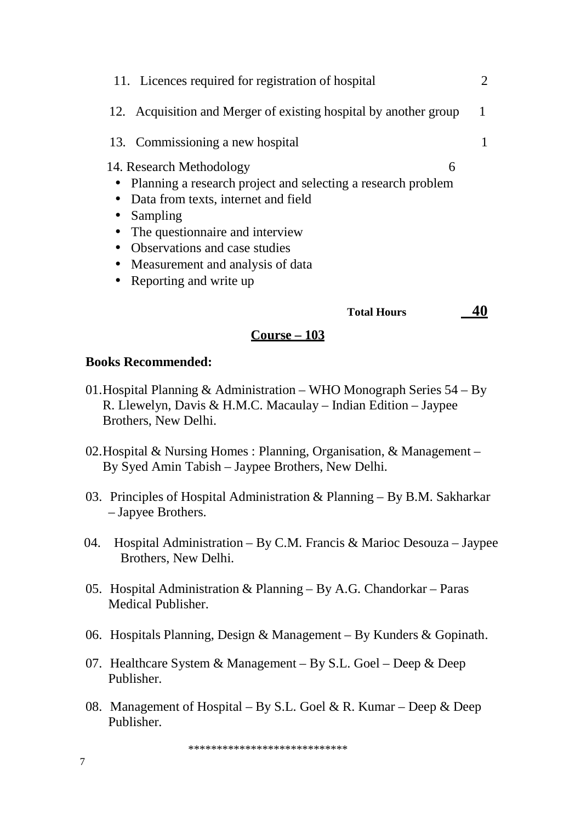| 11. Licences required for registration of hospital                                                                                                                                                                                                                                                               |  |
|------------------------------------------------------------------------------------------------------------------------------------------------------------------------------------------------------------------------------------------------------------------------------------------------------------------|--|
| 12. Acquisition and Merger of existing hospital by another group                                                                                                                                                                                                                                                 |  |
| 13. Commissioning a new hospital                                                                                                                                                                                                                                                                                 |  |
| 14. Research Methodology<br>6<br>• Planning a research project and selecting a research problem<br>Data from texts, internet and field<br>Sampling<br>The question aire and interview<br>Observations and case studies<br>$\bullet$<br>Measurement and analysis of data<br>$\bullet$<br>• Reporting and write up |  |
| <b>Total Hours</b>                                                                                                                                                                                                                                                                                               |  |

### **Course – 103**

### **Books Recommended:**

- 01.Hospital Planning & Administration WHO Monograph Series 54 By R. Llewelyn, Davis & H.M.C. Macaulay – Indian Edition – Jaypee Brothers, New Delhi.
- 02.Hospital & Nursing Homes : Planning, Organisation, & Management By Syed Amin Tabish – Jaypee Brothers, New Delhi.
- 03. Principles of Hospital Administration & Planning By B.M. Sakharkar – Japyee Brothers.
- 04. Hospital Administration By C.M. Francis & Marioc Desouza Jaypee Brothers, New Delhi.
- 05. Hospital Administration & Planning By A.G. Chandorkar Paras Medical Publisher.
- 06. Hospitals Planning, Design & Management By Kunders & Gopinath.
- 07. Healthcare System & Management By S.L. Goel Deep & Deep Publisher.
- 08. Management of Hospital By S.L. Goel & R. Kumar Deep & Deep Publisher.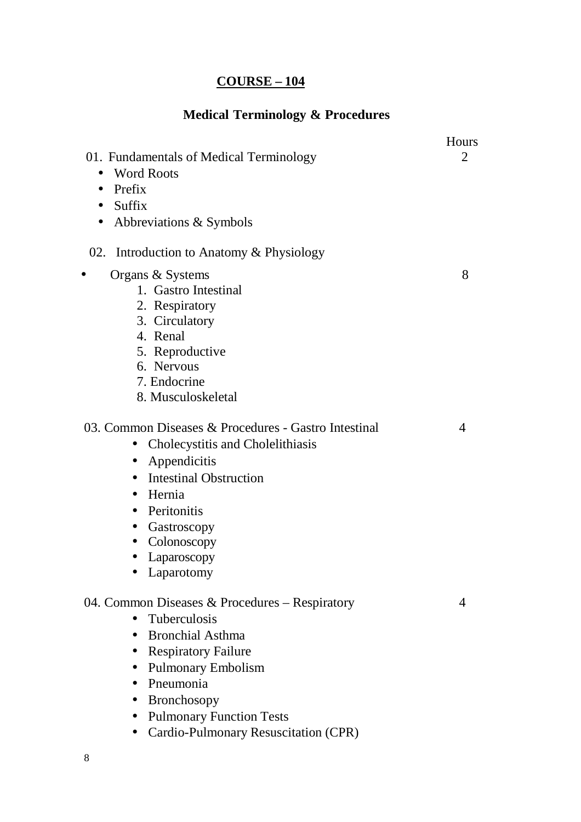# **Medical Terminology & Procedures**

| 01. Fundamentals of Medical Terminology                                                                                                                                                                                                                                                                                  | Hours<br>$\overline{2}$ |
|--------------------------------------------------------------------------------------------------------------------------------------------------------------------------------------------------------------------------------------------------------------------------------------------------------------------------|-------------------------|
| <b>Word Roots</b><br>$\bullet$                                                                                                                                                                                                                                                                                           |                         |
| Prefix<br>$\bullet$                                                                                                                                                                                                                                                                                                      |                         |
| Suffix<br>$\bullet$                                                                                                                                                                                                                                                                                                      |                         |
| Abbreviations & Symbols<br>$\bullet$                                                                                                                                                                                                                                                                                     |                         |
| Introduction to Anatomy & Physiology<br>02.                                                                                                                                                                                                                                                                              |                         |
| Organs & Systems<br>$\bullet$                                                                                                                                                                                                                                                                                            | 8                       |
| 1. Gastro Intestinal                                                                                                                                                                                                                                                                                                     |                         |
| 2. Respiratory                                                                                                                                                                                                                                                                                                           |                         |
| 3. Circulatory                                                                                                                                                                                                                                                                                                           |                         |
| 4. Renal                                                                                                                                                                                                                                                                                                                 |                         |
| 5. Reproductive                                                                                                                                                                                                                                                                                                          |                         |
| 6. Nervous                                                                                                                                                                                                                                                                                                               |                         |
| 7. Endocrine                                                                                                                                                                                                                                                                                                             |                         |
| 8. Musculoskeletal                                                                                                                                                                                                                                                                                                       |                         |
| 03. Common Diseases & Procedures - Gastro Intestinal<br>Cholecystitis and Cholelithiasis<br>$\bullet$<br>Appendicitis<br>$\bullet$<br><b>Intestinal Obstruction</b><br>$\bullet$<br>Hernia<br>$\bullet$<br>Peritonitis<br>$\bullet$<br>Gastroscopy<br>$\bullet$<br>Colonoscopy<br>$\bullet$<br>Laparoscopy<br>Laparotomy | 4                       |
| 04. Common Diseases & Procedures – Respiratory<br><b>Tuberculosis</b><br><b>Bronchial Asthma</b><br><b>Respiratory Failure</b><br><b>Pulmonary Embolism</b><br>Pneumonia<br><b>Bronchosopy</b><br>$\bullet$<br><b>Pulmonary Function Tests</b><br>Cardio-Pulmonary Resuscitation (CPR)                                   | 4                       |
|                                                                                                                                                                                                                                                                                                                          |                         |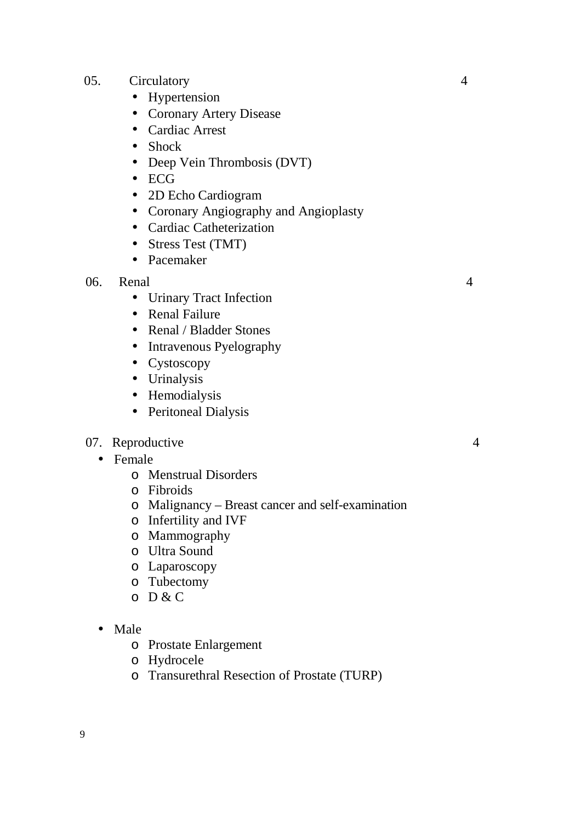- 05. Circulatory 4
	- Hypertension
	- Coronary Artery Disease
	- Cardiac Arrest
	- Shock
	- Deep Vein Thrombosis (DVT)
	- $\bullet$  ECG
	- 2D Echo Cardiogram
	- Coronary Angiography and Angioplasty
	- Cardiac Catheterization
	- Stress Test (TMT)
	- Pacemaker

### 06. Renal 4

- Urinary Tract Infection
- Renal Failure
- Renal / Bladder Stones
- Intravenous Pyelography
- Cystoscopy
- Urinalysis
- Hemodialysis
- Peritoneal Dialysis

### 07. Reproductive 4

- Female
	- o Menstrual Disorders
	- o Fibroids
	- o Malignancy Breast cancer and self-examination
	- o Infertility and IVF
	- o Mammography
	- o Ultra Sound
	- o Laparoscopy
	- o Tubectomy
	- o D & C

### • Male

- o Prostate Enlargement
- o Hydrocele
- o Transurethral Resection of Prostate (TURP)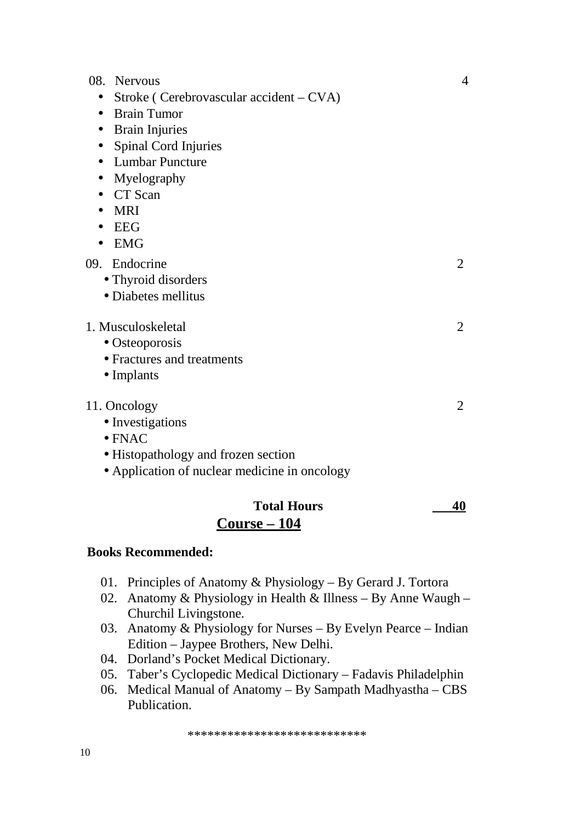| 08.<br><b>Nervous</b>                                | $\overline{4}$ |
|------------------------------------------------------|----------------|
| Stroke (Cerebrovascular accident – CVA)<br>$\bullet$ |                |
| <b>Brain Tumor</b><br>$\bullet$                      |                |
| <b>Brain Injuries</b><br>$\bullet$                   |                |
| Spinal Cord Injuries<br>$\bullet$                    |                |
| <b>Lumbar Puncture</b>                               |                |
| Myelography<br>$\bullet$                             |                |
| CT Scan                                              |                |
| <b>MRI</b><br>$\bullet$                              |                |
| <b>EEG</b><br>$\bullet$                              |                |
| <b>EMG</b><br>$\bullet$                              |                |
| 09. Endocrine                                        | $\overline{2}$ |
| • Thyroid disorders                                  |                |
| • Diabetes mellitus                                  |                |
| 1. Musculoskeletal                                   | $\overline{2}$ |
| • Osteoporosis                                       |                |
| • Fractures and treatments                           |                |
| $\bullet$ Implants                                   |                |
| 11. Oncology                                         | $\overline{2}$ |
| • Investigations                                     |                |
| $\bullet$ FNAC                                       |                |
| • Histopathology and frozen section                  |                |
| • Application of nuclear medicine in oncology        |                |

## Total Hours 40 **Course – 104**

### **Books Recommended:**

- 01. Principles of Anatomy & Physiology By Gerard J. Tortora
- 02. Anatomy & Physiology in Health & Illness By Anne Waugh Churchil Livingstone.
- 03. Anatomy & Physiology for Nurses By Evelyn Pearce Indian Edition – Jaypee Brothers, New Delhi.
- 04. Dorland's Pocket Medical Dictionary.
- 05. Taber's Cyclopedic Medical Dictionary Fadavis Philadelphin
- 06. Medical Manual of Anatomy By Sampath Madhyastha CBS Publication.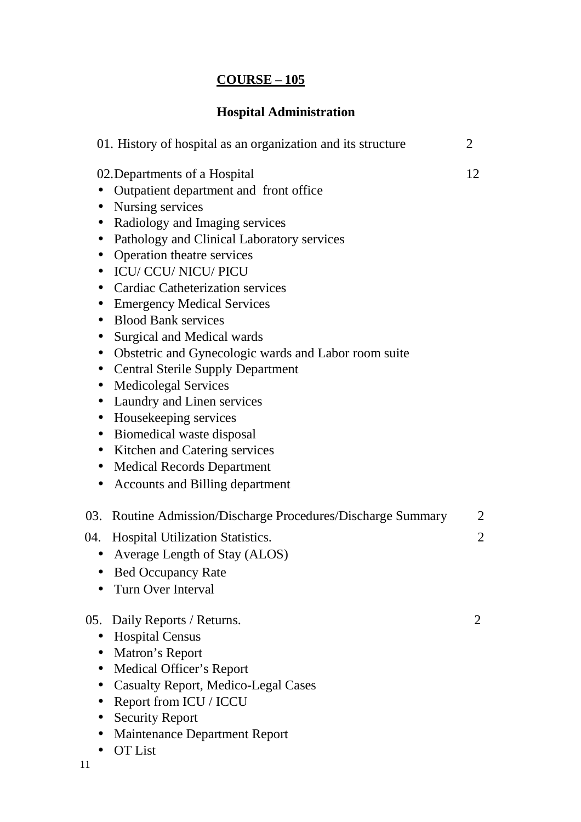# **Hospital Administration**

| 01. History of hospital as an organization and its structure                                                                                                                                                                                                                                                                                                                                                                                                                                                                                                                                                                                                                                                                                                                                                                                                                                                                         | 2                                |
|--------------------------------------------------------------------------------------------------------------------------------------------------------------------------------------------------------------------------------------------------------------------------------------------------------------------------------------------------------------------------------------------------------------------------------------------------------------------------------------------------------------------------------------------------------------------------------------------------------------------------------------------------------------------------------------------------------------------------------------------------------------------------------------------------------------------------------------------------------------------------------------------------------------------------------------|----------------------------------|
| 02. Departments of a Hospital<br>Outpatient department and front office<br>Nursing services<br>$\bullet$<br>Radiology and Imaging services<br>$\bullet$<br>Pathology and Clinical Laboratory services<br>$\bullet$<br>Operation theatre services<br><b>ICU/ CCU/ NICU/ PICU</b><br>$\bullet$<br><b>Cardiac Catheterization services</b><br>$\bullet$<br><b>Emergency Medical Services</b><br>$\bullet$<br><b>Blood Bank services</b><br>$\bullet$<br>Surgical and Medical wards<br>$\bullet$<br>Obstetric and Gynecologic wards and Labor room suite<br>$\bullet$<br><b>Central Sterile Supply Department</b><br>$\bullet$<br><b>Medicolegal Services</b><br>$\bullet$<br>Laundry and Linen services<br>$\bullet$<br>Housekeeping services<br>$\bullet$<br>Biomedical waste disposal<br>$\bullet$<br>Kitchen and Catering services<br>$\bullet$<br><b>Medical Records Department</b><br>$\bullet$<br>Accounts and Billing department | 12                               |
| 03. Routine Admission/Discharge Procedures/Discharge Summary<br>04. Hospital Utilization Statistics.<br>Average Length of Stay (ALOS)<br>$\bullet$<br><b>Bed Occupancy Rate</b><br>Turn Over Interval                                                                                                                                                                                                                                                                                                                                                                                                                                                                                                                                                                                                                                                                                                                                | $\overline{2}$<br>$\overline{2}$ |
| 05. Daily Reports / Returns.<br><b>Hospital Census</b><br>$\bullet$<br>Matron's Report<br>$\bullet$<br>Medical Officer's Report<br>$\bullet$<br><b>Casualty Report, Medico-Legal Cases</b><br>$\bullet$<br>Report from ICU / ICCU<br><b>Security Report</b><br><b>Maintenance Department Report</b><br><b>OT</b> List                                                                                                                                                                                                                                                                                                                                                                                                                                                                                                                                                                                                                | 2                                |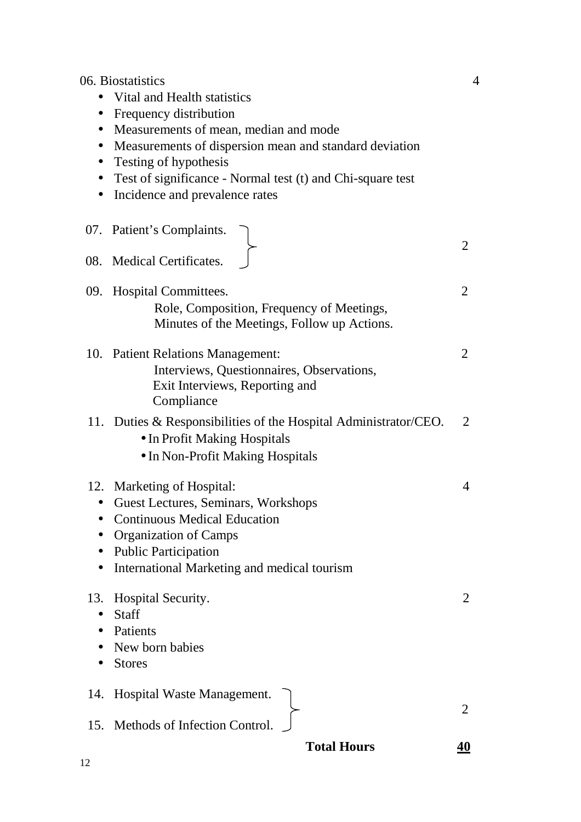06. Biostatistics 4 • Vital and Health statistics • Frequency distribution • Measurements of mean, median and mode • Measurements of dispersion mean and standard deviation • Testing of hypothesis • Test of significance - Normal test (t) and Chi-square test • Incidence and prevalence rates 07. Patient's Complaints.  $\mathcal{L}$ 08. Medical Certificates. 09. Hospital Committees. 2 Role, Composition, Frequency of Meetings, Minutes of the Meetings, Follow up Actions. 10. Patient Relations Management: 2 Interviews, Questionnaires, Observations, Exit Interviews, Reporting and Compliance 11. Duties & Responsibilities of the Hospital Administrator/CEO. 2 • In Profit Making Hospitals • In Non-Profit Making Hospitals 12. Marketing of Hospital: 4 • Guest Lectures, Seminars, Workshops • Continuous Medical Education • Organization of Camps • Public Participation • International Marketing and medical tourism 13. Hospital Security. 2 • Staff • Patients • New born babies • Stores 14. Hospital Waste Management. 2 15. Methods of Infection Control. **Total Hours 40**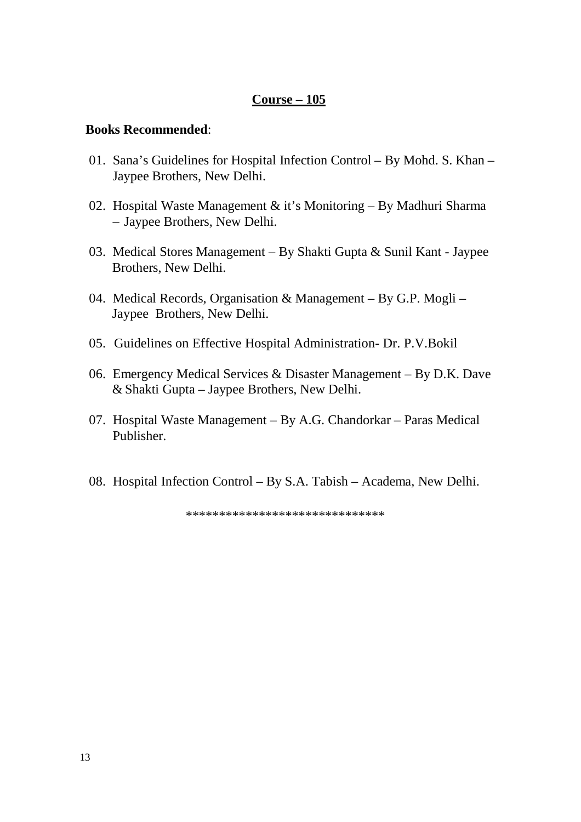### **Course – 105**

#### **Books Recommended**:

- 01. Sana's Guidelines for Hospital Infection Control By Mohd. S. Khan Jaypee Brothers, New Delhi.
- 02. Hospital Waste Management & it's Monitoring By Madhuri Sharma – Jaypee Brothers, New Delhi.
- 03. Medical Stores Management By Shakti Gupta & Sunil Kant Jaypee Brothers, New Delhi.
- 04. Medical Records, Organisation & Management By G.P. Mogli Jaypee Brothers, New Delhi.
- 05. Guidelines on Effective Hospital Administration- Dr. P.V.Bokil
- 06. Emergency Medical Services & Disaster Management By D.K. Dave & Shakti Gupta – Jaypee Brothers, New Delhi.
- 07. Hospital Waste Management By A.G. Chandorkar Paras Medical Publisher.
- 08. Hospital Infection Control By S.A. Tabish Academa, New Delhi.

\*\*\*\*\*\*\*\*\*\*\*\*\*\*\*\*\*\*\*\*\*\*\*\*\*\*\*\*\*\*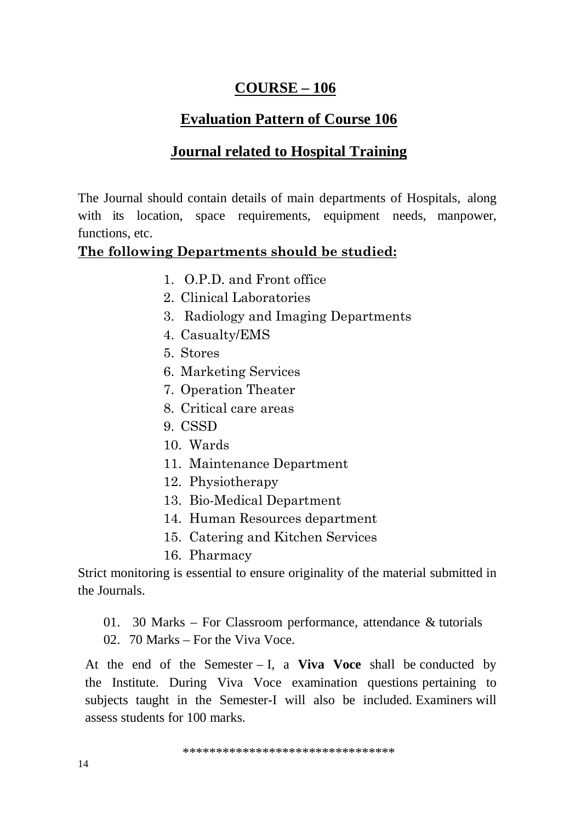# $COUNSE-106$

# **Evaluation Pattern of Course 106**

# **Journal related to Hospital Training**

The Journal should contain details of main departments of Hospitals, along with its location, space requirements, equipment needs, manpower, functions, etc.

## The following Departments should be studied:

- 1. O.P.D. and Front office
- 2. Clinical Laboratories
- 3. Radiology and Imaging Departments
- 4. Casualty/EMS
- 5. Stores
- 6. Marketing Services
- 7. Operation Theater
- 8. Critical care areas
- 9. CSSD
- 10. Wards
- 11. Maintenance Department
- 12. Physiotherapy
- 13. Bio-Medical Department
- 14. Human Resources department
- 15. Catering and Kitchen Services
- 16. Pharmacy

Strict monitoring is essential to ensure originality of the material submitted in the Journals.

- 01. 30 Marks For Classroom performance, attendance  $\&$  tutorials
- $02.70$  Marks For the Viva Voce.

At the end of the Semester  $- I$ , a Viva Voce shall be conducted by the Institute. During Viva Voce examination questions pertaining to subjects taught in the Semester-I will also be included. Examiners will assess students for 100 marks.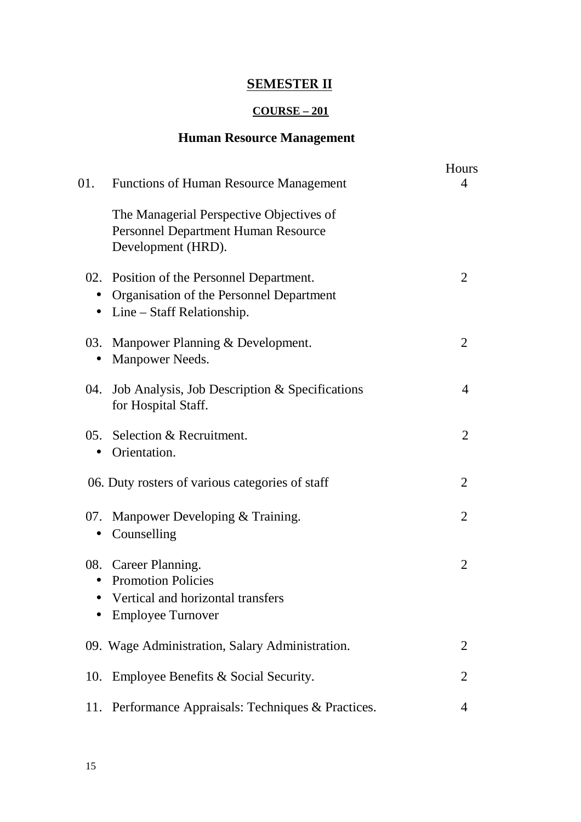# **SEMESTER II**

## **COURSE – 201**

# **Human Resource Management**

| 01.                    | <b>Functions of Human Resource Management</b>                                                                         | Hours<br>4     |
|------------------------|-----------------------------------------------------------------------------------------------------------------------|----------------|
|                        | The Managerial Perspective Objectives of<br><b>Personnel Department Human Resource</b><br>Development (HRD).          |                |
| $\bullet$<br>$\bullet$ | 02. Position of the Personnel Department.<br>Organisation of the Personnel Department<br>$Line - Staff$ Relationship. | 2              |
| 03.<br>$\bullet$       | Manpower Planning & Development.<br>Manpower Needs.                                                                   | $\overline{2}$ |
|                        | 04. Job Analysis, Job Description & Specifications<br>for Hospital Staff.                                             | 4              |
| $\bullet$              | 05. Selection & Recruitment.<br>Orientation.                                                                          | $\overline{2}$ |
|                        | 06. Duty rosters of various categories of staff                                                                       | 2              |
| $\bullet$              | 07. Manpower Developing & Training.<br>Counselling                                                                    | $\overline{2}$ |
| $\bullet$              | 08. Career Planning.<br><b>Promotion Policies</b><br>Vertical and horizontal transfers<br><b>Employee Turnover</b>    | $\overline{2}$ |
|                        | 09. Wage Administration, Salary Administration.                                                                       | 2              |
| 10.                    | Employee Benefits & Social Security.                                                                                  | $\overline{2}$ |
| 11.                    | Performance Appraisals: Techniques & Practices.                                                                       | 4              |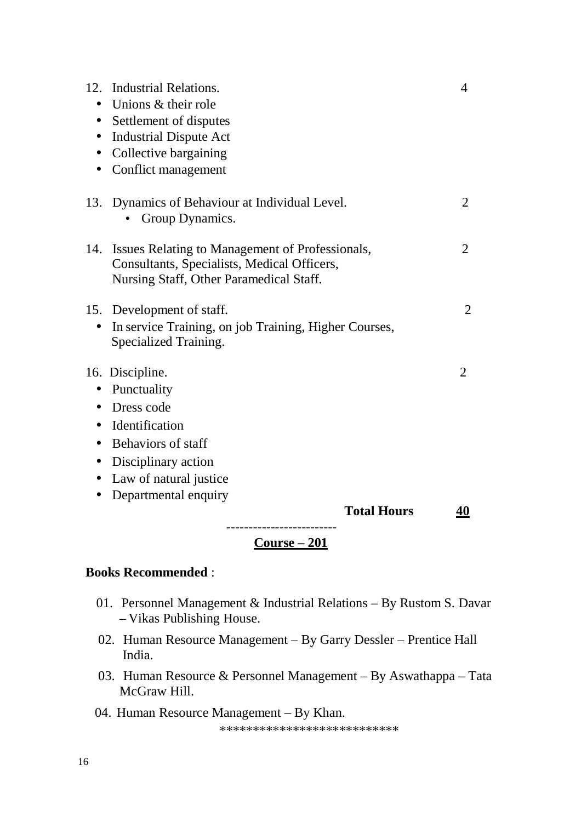|                        | Course – 201                                                                                   |                |
|------------------------|------------------------------------------------------------------------------------------------|----------------|
|                        | <b>Total Hours</b>                                                                             | <u>40</u>      |
|                        | Departmental enquiry                                                                           |                |
| $\bullet$              | Disciplinary action<br>Law of natural justice                                                  |                |
| $\bullet$              | Behaviors of staff                                                                             |                |
| $\bullet$              | Identification                                                                                 |                |
| $\bullet$              | Dress code                                                                                     |                |
| $\bullet$              | Punctuality                                                                                    |                |
|                        | 16. Discipline.                                                                                | 2              |
|                        | Specialized Training.                                                                          |                |
| $\bullet$              | In service Training, on job Training, Higher Courses,                                          |                |
|                        | 15. Development of staff.                                                                      | 2              |
|                        | Nursing Staff, Other Paramedical Staff.                                                        |                |
| 14.                    | Issues Relating to Management of Professionals,<br>Consultants, Specialists, Medical Officers, | 2              |
|                        |                                                                                                |                |
|                        | 13. Dynamics of Behaviour at Individual Level.<br>Group Dynamics.                              | 2              |
|                        |                                                                                                |                |
| $\bullet$              | Conflict management                                                                            |                |
| $\bullet$              | Collective bargaining                                                                          |                |
| $\bullet$<br>$\bullet$ | Settlement of disputes<br><b>Industrial Dispute Act</b>                                        |                |
| $\bullet$              | Unions & their role                                                                            |                |
| 12.                    | <b>Industrial Relations.</b>                                                                   | $\overline{4}$ |
|                        |                                                                                                |                |

### **Books Recommended** :

- 01. Personnel Management & Industrial Relations By Rustom S. Davar – Vikas Publishing House.
- 02. Human Resource Management By Garry Dessler Prentice Hall India.
- 03. Human Resource & Personnel Management By Aswathappa Tata McGraw Hill.
- 04. Human Resource Management By Khan.

\*\*\*\*\*\*\*\*\*\*\*\*\*\*\*\*\*\*\*\*\*\*\*\*\*\*\*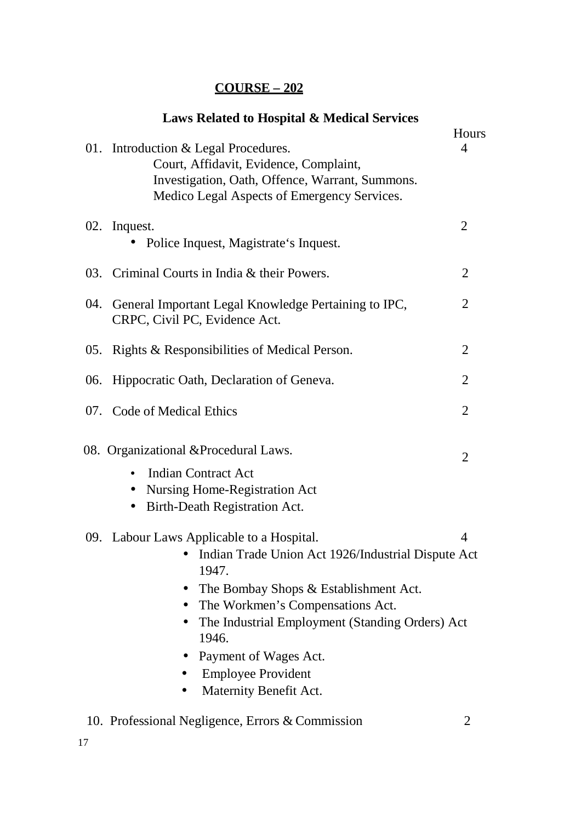| <b>Laws Related to Hospital &amp; Medical Services</b>                                                                                                                                                                                                                                                                            |                |
|-----------------------------------------------------------------------------------------------------------------------------------------------------------------------------------------------------------------------------------------------------------------------------------------------------------------------------------|----------------|
| 01. Introduction & Legal Procedures.<br>Court, Affidavit, Evidence, Complaint,<br>Investigation, Oath, Offence, Warrant, Summons.<br>Medico Legal Aspects of Emergency Services.                                                                                                                                                  | Hours<br>4     |
| 02. Inquest.<br>Police Inquest, Magistrate's Inquest.                                                                                                                                                                                                                                                                             | $\overline{2}$ |
| 03. Criminal Courts in India & their Powers.                                                                                                                                                                                                                                                                                      | $\overline{2}$ |
| 04. General Important Legal Knowledge Pertaining to IPC,<br>CRPC, Civil PC, Evidence Act.                                                                                                                                                                                                                                         | 2              |
| 05. Rights & Responsibilities of Medical Person.                                                                                                                                                                                                                                                                                  | $\overline{2}$ |
| 06. Hippocratic Oath, Declaration of Geneva.                                                                                                                                                                                                                                                                                      | $\overline{2}$ |
| 07. Code of Medical Ethics                                                                                                                                                                                                                                                                                                        | $\overline{2}$ |
| 08. Organizational & Procedural Laws.                                                                                                                                                                                                                                                                                             | $\overline{2}$ |
| <b>Indian Contract Act</b><br>Nursing Home-Registration Act<br>$\bullet$<br>Birth-Death Registration Act.                                                                                                                                                                                                                         |                |
| 09. Labour Laws Applicable to a Hospital.<br>Indian Trade Union Act 1926/Industrial Dispute Act<br>1947.<br>The Bombay Shops & Establishment Act.<br>The Workmen's Compensations Act.<br>The Industrial Employment (Standing Orders) Act<br>1946.<br>Payment of Wages Act.<br><b>Employee Provident</b><br>Maternity Benefit Act. | 4              |
| 10. Professional Negligence, Errors & Commission                                                                                                                                                                                                                                                                                  | $\overline{2}$ |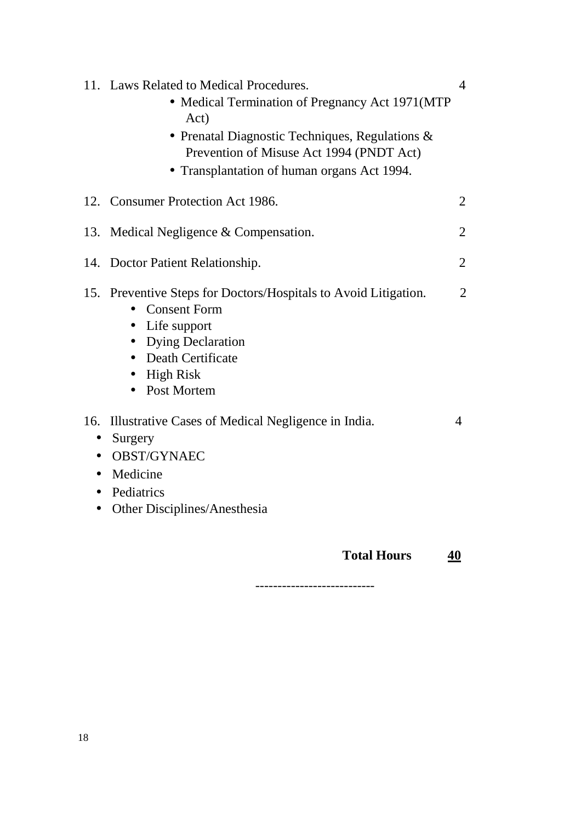|                  | <b>Total Hours</b>                                                                                                                                                                                                                                  | 40             |
|------------------|-----------------------------------------------------------------------------------------------------------------------------------------------------------------------------------------------------------------------------------------------------|----------------|
| 16.<br>$\bullet$ | Illustrative Cases of Medical Negligence in India.<br>Surgery<br><b>OBST/GYNAEC</b><br>Medicine<br>Pediatrics<br>Other Disciplines/Anesthesia                                                                                                       | $\overline{4}$ |
|                  | 15. Preventive Steps for Doctors/Hospitals to Avoid Litigation.<br><b>Consent Form</b><br>Life support<br>$\bullet$<br><b>Dying Declaration</b><br>Death Certificate<br><b>High Risk</b><br>$\bullet$<br>Post Mortem                                | $\overline{2}$ |
|                  | 14. Doctor Patient Relationship.                                                                                                                                                                                                                    | $\overline{2}$ |
| 13.              | Medical Negligence $&$ Compensation.                                                                                                                                                                                                                | 2              |
|                  | 12. Consumer Protection Act 1986.                                                                                                                                                                                                                   | $\overline{2}$ |
|                  | 11. Laws Related to Medical Procedures.<br>• Medical Termination of Pregnancy Act 1971(MTP<br>Act)<br>• Prenatal Diagnostic Techniques, Regulations $\&$<br>Prevention of Misuse Act 1994 (PNDT Act)<br>• Transplantation of human organs Act 1994. | $\overline{4}$ |
|                  |                                                                                                                                                                                                                                                     |                |

---------------------------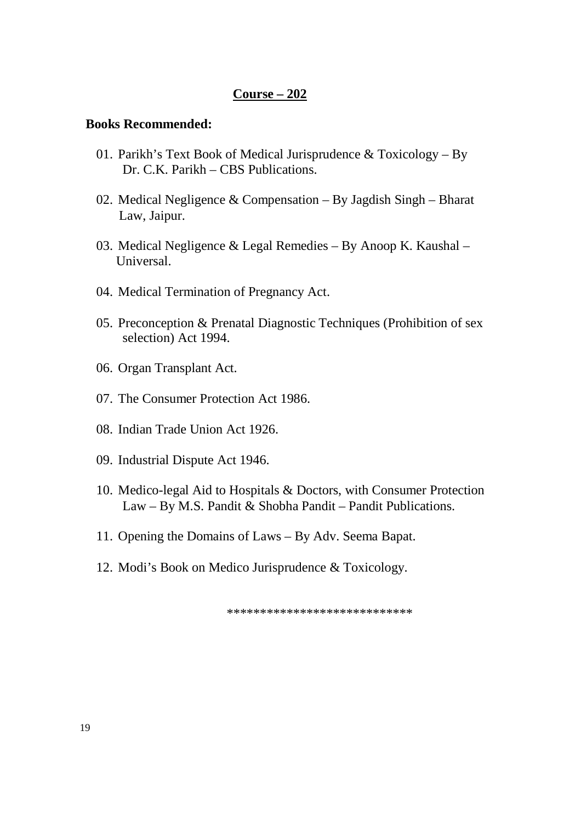### **Course – 202**

#### **Books Recommended:**

- 01. Parikh's Text Book of Medical Jurisprudence  $&$  Toxicology By Dr. C.K. Parikh – CBS Publications.
- 02. Medical Negligence & Compensation By Jagdish Singh Bharat Law, Jaipur.
- 03. Medical Negligence & Legal Remedies By Anoop K. Kaushal Universal.
- 04. Medical Termination of Pregnancy Act.
- 05. Preconception & Prenatal Diagnostic Techniques (Prohibition of sex selection) Act 1994.
- 06. Organ Transplant Act.
- 07. The Consumer Protection Act 1986.
- 08. Indian Trade Union Act 1926.
- 09. Industrial Dispute Act 1946.
- 10. Medico-legal Aid to Hospitals & Doctors, with Consumer Protection Law – By M.S. Pandit & Shobha Pandit – Pandit Publications.
- 11. Opening the Domains of Laws By Adv. Seema Bapat.
- 12. Modi's Book on Medico Jurisprudence & Toxicology.

\*\*\*\*\*\*\*\*\*\*\*\*\*\*\*\*\*\*\*\*\*\*\*\*\*\*\*\*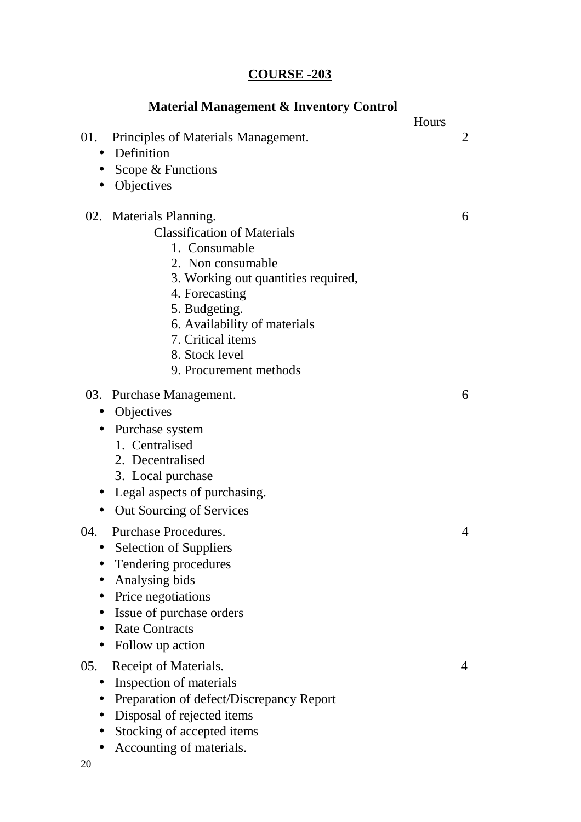# **COURSE -203**

| 01.<br>$\bullet$<br>$\bullet$<br>$\bullet$ | Principles of Materials Management.<br>Definition<br>Scope & Functions<br>Objectives                                                                                                                                                                                           | Hours | 2 |
|--------------------------------------------|--------------------------------------------------------------------------------------------------------------------------------------------------------------------------------------------------------------------------------------------------------------------------------|-------|---|
|                                            | 02. Materials Planning.<br><b>Classification of Materials</b><br>1. Consumable<br>2. Non consumable<br>3. Working out quantities required,<br>4. Forecasting<br>5. Budgeting.<br>6. Availability of materials<br>7. Critical items<br>8. Stock level<br>9. Procurement methods |       | 6 |
| $\bullet$<br>$\bullet$<br>$\bullet$        | 03. Purchase Management.<br>Objectives<br>• Purchase system<br>1. Centralised<br>2. Decentralised<br>3. Local purchase<br>Legal aspects of purchasing.<br>Out Sourcing of Services                                                                                             |       | 6 |
| 04.                                        | <b>Purchase Procedures.</b><br><b>Selection of Suppliers</b><br>Tendering procedures<br>Analysing bids<br>Price negotiations<br>Issue of purchase orders<br><b>Rate Contracts</b><br>Follow up action                                                                          |       | 4 |
| 05.                                        | Receipt of Materials.<br>Inspection of materials<br>Preparation of defect/Discrepancy Report<br>Disposal of rejected items<br>Stocking of accepted items<br>Accounting of materials.                                                                                           |       | 4 |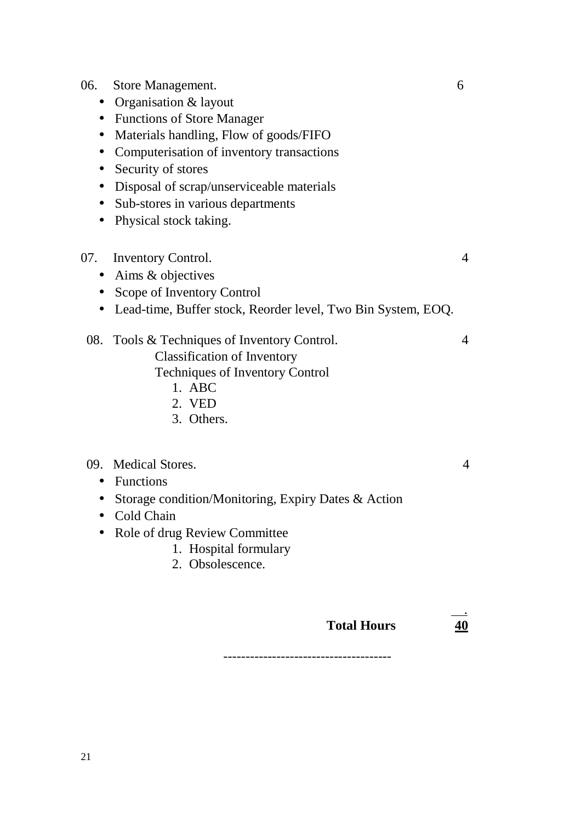#### 06. Store Management. 6

- Organisation & layout
- Functions of Store Manager
- Materials handling, Flow of goods/FIFO
- Computerisation of inventory transactions
- Security of stores
- Disposal of scrap/unserviceable materials
- Sub-stores in various departments
- Physical stock taking.

#### 07. Inventory Control. 4

- Aims & objectives
- Scope of Inventory Control
- Lead-time, Buffer stock, Reorder level, Two Bin System, EOQ.

### 08. Tools & Techniques of Inventory Control. 4

Classification of Inventory

Techniques of Inventory Control

- 1. ABC
- 2. VED
- 3. Others.

#### 09. Medical Stores. 4

#### • Functions

- Storage condition/Monitoring, Expiry Dates & Action
- Cold Chain
- Role of drug Review Committee
	- 1. Hospital formulary
	- 2. Obsolescence.

#### **Total Hours 40**

.

--------------------------------------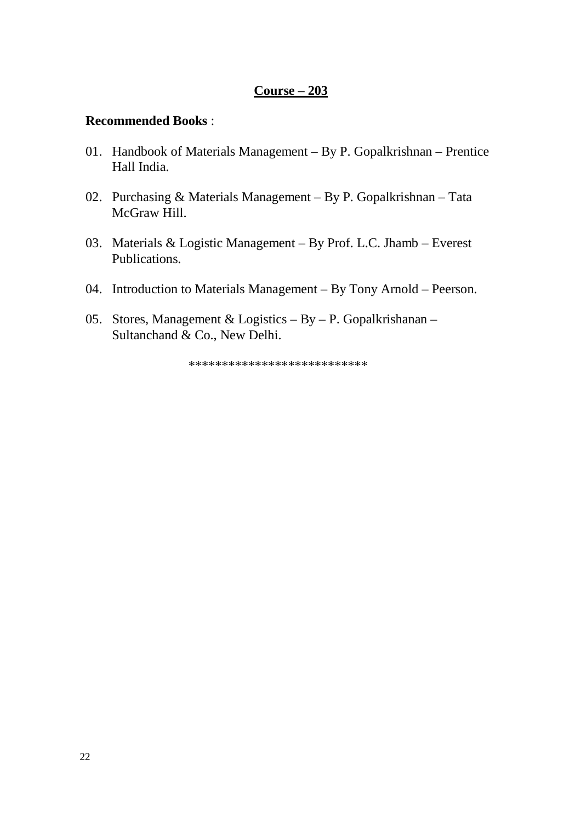### **Course – 203**

### **Recommended Books** :

- 01. Handbook of Materials Management By P. Gopalkrishnan Prentice Hall India.
- 02. Purchasing & Materials Management By P. Gopalkrishnan Tata McGraw Hill.
- 03. Materials & Logistic Management By Prof. L.C. Jhamb Everest Publications.
- 04. Introduction to Materials Management By Tony Arnold Peerson.
- 05. Stores, Management & Logistics By P. Gopalkrishanan Sultanchand & Co., New Delhi.

\*\*\*\*\*\*\*\*\*\*\*\*\*\*\*\*\*\*\*\*\*\*\*\*\*\*\*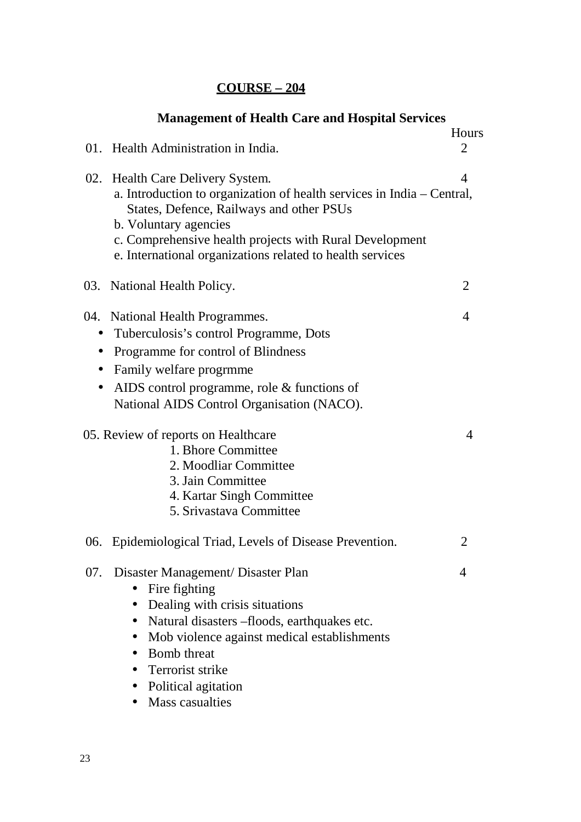|           | <b>Management of Health Care and Hospital Services</b>                                                               |                |
|-----------|----------------------------------------------------------------------------------------------------------------------|----------------|
|           |                                                                                                                      | Hours          |
|           | 01. Health Administration in India.                                                                                  | $\overline{2}$ |
|           | 02. Health Care Delivery System.                                                                                     | 4              |
|           | a. Introduction to organization of health services in India – Central,<br>States, Defence, Railways and other PSUs   |                |
|           | b. Voluntary agencies                                                                                                |                |
|           | c. Comprehensive health projects with Rural Development<br>e. International organizations related to health services |                |
|           | 03. National Health Policy.                                                                                          | 2              |
|           | 04. National Health Programmes.                                                                                      | 4              |
|           | Tuberculosis's control Programme, Dots                                                                               |                |
| $\bullet$ | Programme for control of Blindness                                                                                   |                |
| $\bullet$ | Family welfare progrmme                                                                                              |                |
| $\bullet$ | AIDS control programme, role & functions of                                                                          |                |
|           | National AIDS Control Organisation (NACO).                                                                           |                |
|           | 05. Review of reports on Healthcare                                                                                  | 4              |
|           | 1. Bhore Committee                                                                                                   |                |
|           | 2. Moodliar Committee                                                                                                |                |
|           | 3. Jain Committee                                                                                                    |                |
|           | 4. Kartar Singh Committee                                                                                            |                |
|           | 5. Srivastava Committee                                                                                              |                |
| 06.       | Epidemiological Triad, Levels of Disease Prevention.                                                                 | 2              |
| 07.       | Disaster Management/ Disaster Plan                                                                                   | 4              |
|           | Fire fighting<br>$\bullet$                                                                                           |                |
|           | Dealing with crisis situations                                                                                       |                |
|           | Natural disasters –floods, earthquakes etc.                                                                          |                |
|           | Mob violence against medical establishments<br>$\bullet$                                                             |                |
|           | <b>Bomb</b> threat                                                                                                   |                |
|           | • Terrorist strike                                                                                                   |                |
|           | Political agitation                                                                                                  |                |
|           | <b>Mass casualties</b>                                                                                               |                |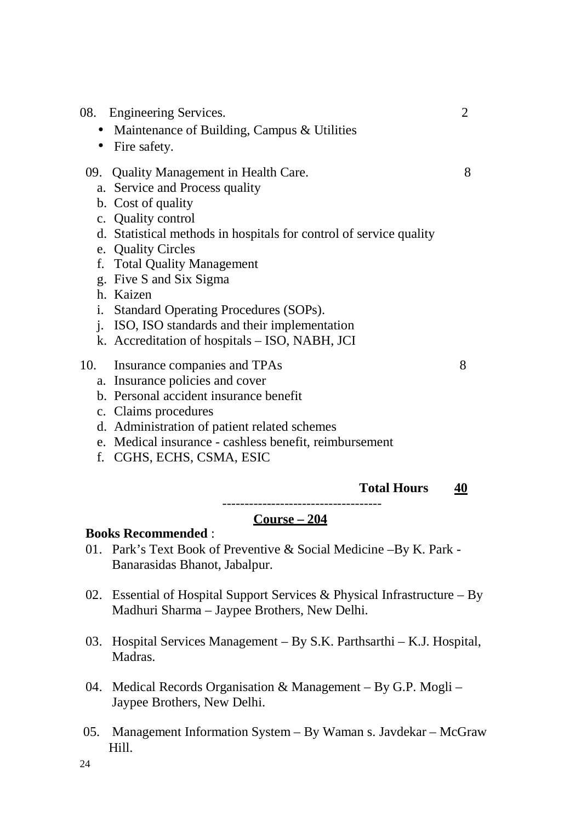| <b>Engineering Services.</b><br>08.                                | $\overline{2}$ |
|--------------------------------------------------------------------|----------------|
| Maintenance of Building, Campus & Utilities<br>$\bullet$           |                |
| Fire safety.<br>$\bullet$                                          |                |
| 09. Quality Management in Health Care.                             | 8              |
| a. Service and Process quality                                     |                |
| b. Cost of quality                                                 |                |
| c. Quality control                                                 |                |
| d. Statistical methods in hospitals for control of service quality |                |
| e. Quality Circles                                                 |                |
| f. Total Quality Management                                        |                |
| g. Five S and Six Sigma                                            |                |
| h. Kaizen                                                          |                |
| i. Standard Operating Procedures (SOPs).                           |                |
| ISO, ISO standards and their implementation<br>$i_{-}$             |                |
| k. Accreditation of hospitals - ISO, NABH, JCI                     |                |
| Insurance companies and TPAs<br>10.                                | 8              |
| a. Insurance policies and cover                                    |                |
| b. Personal accident insurance benefit                             |                |
| c. Claims procedures                                               |                |
| d. Administration of patient related schemes                       |                |
| e. Medical insurance - cashless benefit, reimbursement             |                |
| f. CGHS, ECHS, CSMA, ESIC                                          |                |

**Total Hours 40**

------------------------------------

## **Course – 204**

#### **Books Recommended** :

- 01. Park's Text Book of Preventive & Social Medicine –By K. Park Banarasidas Bhanot, Jabalpur.
- 02. Essential of Hospital Support Services & Physical Infrastructure By Madhuri Sharma – Jaypee Brothers, New Delhi.
- 03. Hospital Services Management By S.K. Parthsarthi K.J. Hospital, Madras.
- 04. Medical Records Organisation & Management By G.P. Mogli Jaypee Brothers, New Delhi.
- 05. Management Information System By Waman s. Javdekar McGraw Hill.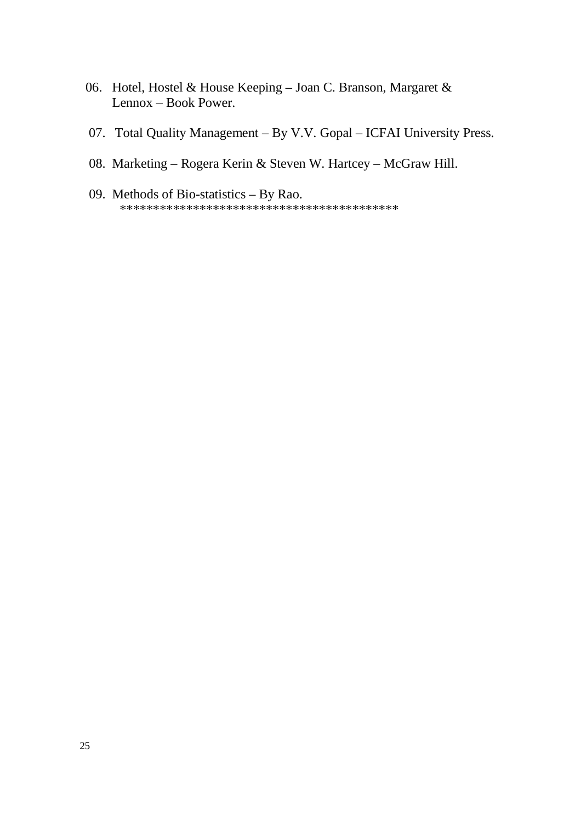- 06. Hotel, Hostel & House Keeping Joan C. Branson, Margaret & Lennox – Book Power.
- 07. Total Quality Management By V.V. Gopal ICFAI University Press.
- 08. Marketing Rogera Kerin & Steven W. Hartcey McGraw Hill.
- 09. Methods of Bio-statistics By Rao.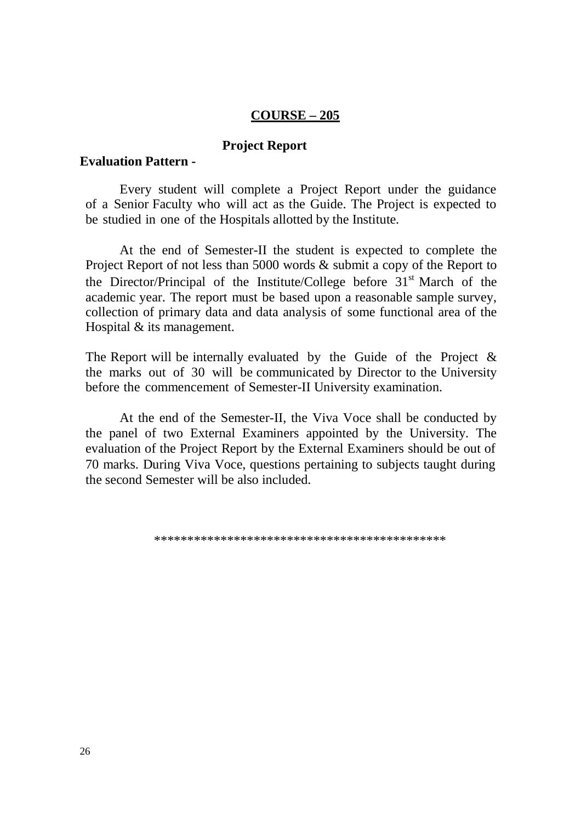#### $COUNSE-205$

#### **Project Report**

#### **Evaluation Pattern -**

Every student will complete a Project Report under the guidance of a Senior Faculty who will act as the Guide. The Project is expected to be studied in one of the Hospitals allotted by the Institute.

At the end of Semester-II the student is expected to complete the Project Report of not less than 5000 words & submit a copy of the Report to the Director/Principal of the Institute/College before 31<sup>st</sup> March of the academic year. The report must be based upon a reasonable sample survey, collection of primary data and data analysis of some functional area of the Hospital  $&$  its management.

The Report will be internally evaluated by the Guide of the Project  $\&$ the marks out of 30 will be communicated by Director to the University before the commencement of Semester-II University examination.

At the end of the Semester-II, the Viva Voce shall be conducted by the panel of two External Examiners appointed by the University. The evaluation of the Project Report by the External Examiners should be out of 70 marks. During Viva Voce, questions pertaining to subjects taught during the second Semester will be also included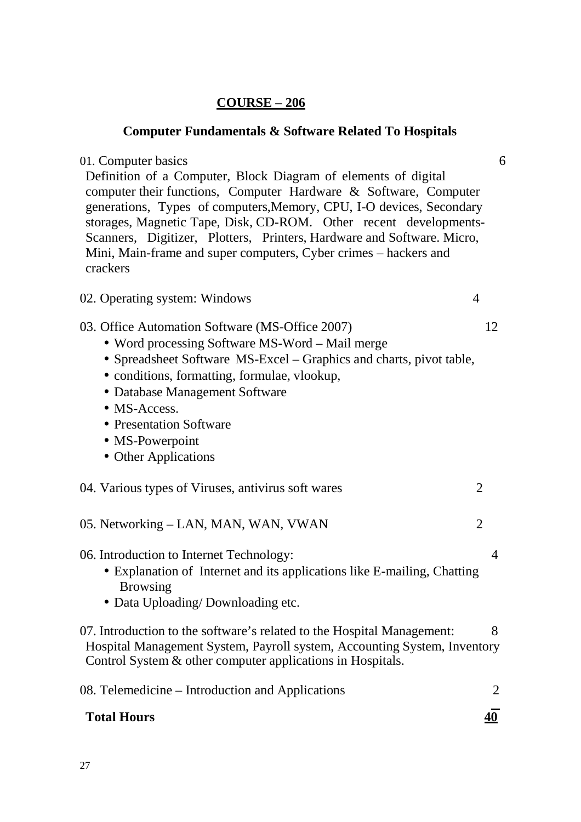### **Computer Fundamentals & Software Related To Hospitals**

### 01. Computer basics 6 Definition of a Computer, Block Diagram of elements of digital computer their functions, Computer Hardware & Software, Computer generations, Types of computers,Memory, CPU, I-O devices, Secondary storages, Magnetic Tape, Disk, CD-ROM. Other recent developments-Scanners, Digitizer, Plotters, Printers, Hardware and Software. Micro,

# 02. Operating system: Windows 4

03. Office Automation Software (MS-Office 2007) 12

Mini, Main-frame and super computers, Cyber crimes – hackers and

- Word processing Software MS-Word Mail merge
- Spreadsheet Software MS-Excel Graphics and charts, pivot table,
- conditions, formatting, formulae, vlookup,
- Database Management Software
- MS-Access.

crackers

- Presentation Software
- MS-Powerpoint
- Other Applications

|  |  | 04. Various types of Viruses, antivirus soft wares |  |
|--|--|----------------------------------------------------|--|
|--|--|----------------------------------------------------|--|

05. Networking – LAN, MAN, WAN, VWAN 2

06. Introduction to Internet Technology: 4

- Explanation of Internet and its applications like E-mailing, Chatting Browsing
- Data Uploading/Downloading etc.
- 07. Introduction to the software's related to the Hospital Management: 8 Hospital Management System, Payroll system, Accounting System, Inventory Control System & other computer applications in Hospitals.

| 08. Telemedicine – Introduction and Applications |           |
|--------------------------------------------------|-----------|
| <b>Total Hours</b>                               | <u>40</u> |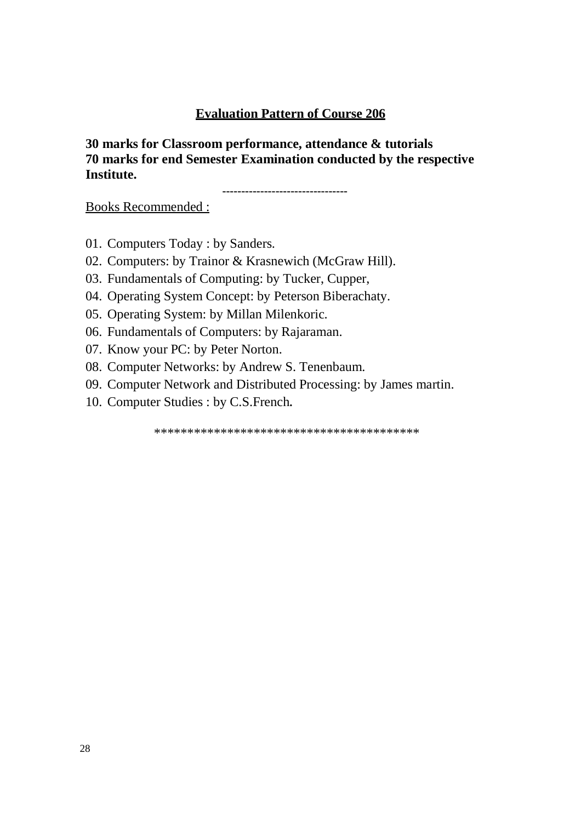### **Evaluation Pattern of Course 206**

30 marks for Classroom performance, attendance & tutorials 70 marks for end Semester Examination conducted by the respective Institute.

**Books Recommended:** 

- 01. Computers Today: by Sanders.
- 02. Computers: by Trainor & Krasnewich (McGraw Hill).
- 03. Fundamentals of Computing: by Tucker, Cupper,
- 04. Operating System Concept: by Peterson Biberachaty.
- 05. Operating System: by Millan Milenkoric.
- 06. Fundamentals of Computers: by Rajaraman.
- 07. Know your PC: by Peter Norton.
- 08. Computer Networks: by Andrew S. Tenenbaum.
- 09. Computer Network and Distributed Processing: by James martin.
- 10. Computer Studies : by C.S. French.